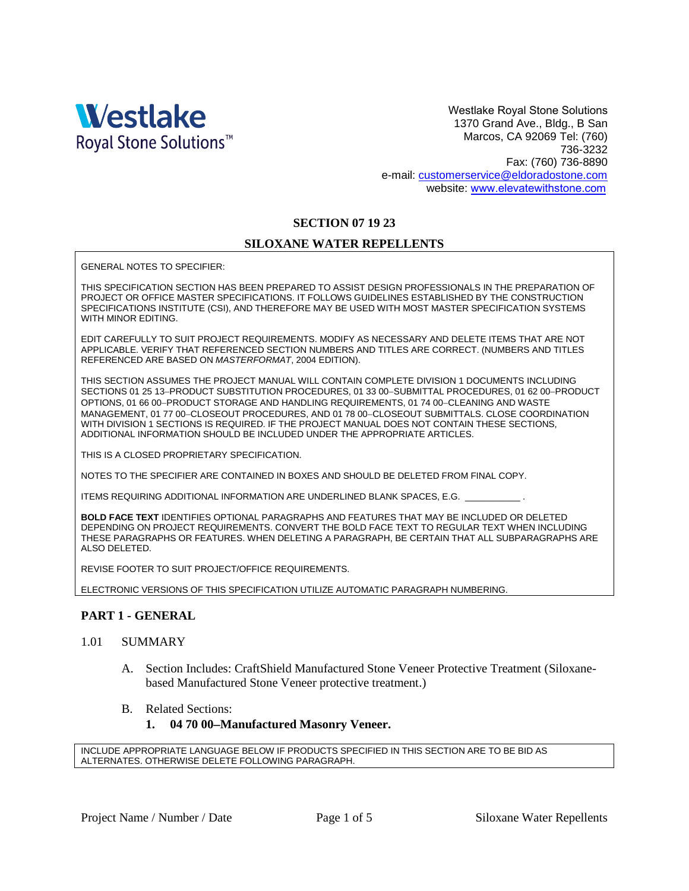

Westlake Royal Stone Solutions 1370 Grand Ave., Bldg., B San Marcos, CA 92069 Tel: (760) 736-3232 Fax: (760) 736-8890 e-mail: [customerservice@eldoradostone.com](mailto:customerservice@eldoradostone.com) website: w[ww.elevatewithstone.com](http://www.eldoradostone.com/)

## **SECTION 07 19 23**

### **SILOXANE WATER REPELLENTS**

GENERAL NOTES TO SPECIFIER:

THIS SPECIFICATION SECTION HAS BEEN PREPARED TO ASSIST DESIGN PROFESSIONALS IN THE PREPARATION OF PROJECT OR OFFICE MASTER SPECIFICATIONS. IT FOLLOWS GUIDELINES ESTABLISHED BY THE CONSTRUCTION SPECIFICATIONS INSTITUTE (CSI), AND THEREFORE MAY BE USED WITH MOST MASTER SPECIFICATION SYSTEMS WITH MINOR EDITING.

EDIT CAREFULLY TO SUIT PROJECT REQUIREMENTS. MODIFY AS NECESSARY AND DELETE ITEMS THAT ARE NOT APPLICABLE. VERIFY THAT REFERENCED SECTION NUMBERS AND TITLES ARE CORRECT. (NUMBERS AND TITLES REFERENCED ARE BASED ON *MASTERFORMAT*, 2004 EDITION).

THIS SECTION ASSUMES THE PROJECT MANUAL WILL CONTAIN COMPLETE DIVISION 1 DOCUMENTS INCLUDING SECTIONS 01 25 13-PRODUCT SUBSTITUTION PROCEDURES, 01 33 00-SUBMITTAL PROCEDURES, 01 62 00-PRODUCT OPTIONS, 01 66 00-PRODUCT STORAGE AND HANDLING REQUIREMENTS, 01 74 00-CLEANING AND WASTE MANAGEMENT, 01 77 00-CLOSEOUT PROCEDURES, AND 01 78 00-CLOSEOUT SUBMITTALS. CLOSE COORDINATION WITH DIVISION 1 SECTIONS IS REQUIRED. IF THE PROJECT MANUAL DOES NOT CONTAIN THESE SECTIONS, ADDITIONAL INFORMATION SHOULD BE INCLUDED UNDER THE APPROPRIATE ARTICLES.

THIS IS A CLOSED PROPRIETARY SPECIFICATION.

NOTES TO THE SPECIFIER ARE CONTAINED IN BOXES AND SHOULD BE DELETED FROM FINAL COPY.

ITEMS REQUIRING ADDITIONAL INFORMATION ARE UNDERLINED BLANK SPACES, E.G.

**BOLD FACE TEXT** IDENTIFIES OPTIONAL PARAGRAPHS AND FEATURES THAT MAY BE INCLUDED OR DELETED DEPENDING ON PROJECT REQUIREMENTS. CONVERT THE BOLD FACE TEXT TO REGULAR TEXT WHEN INCLUDING THESE PARAGRAPHS OR FEATURES. WHEN DELETING A PARAGRAPH, BE CERTAIN THAT ALL SUBPARAGRAPHS ARE ALSO DELETED.

REVISE FOOTER TO SUIT PROJECT/OFFICE REQUIREMENTS.

ELECTRONIC VERSIONS OF THIS SPECIFICATION UTILIZE AUTOMATIC PARAGRAPH NUMBERING.

### **PART 1 - GENERAL**

#### 1.01 SUMMARY

- A. Section Includes: CraftShield Manufactured Stone Veneer Protective Treatment (Siloxanebased Manufactured Stone Veneer protective treatment.)
- B. Related Sections:

#### **1. 04 70 00Manufactured Masonry Veneer.**

INCLUDE APPROPRIATE LANGUAGE BELOW IF PRODUCTS SPECIFIED IN THIS SECTION ARE TO BE BID AS ALTERNATES. OTHERWISE DELETE FOLLOWING PARAGRAPH.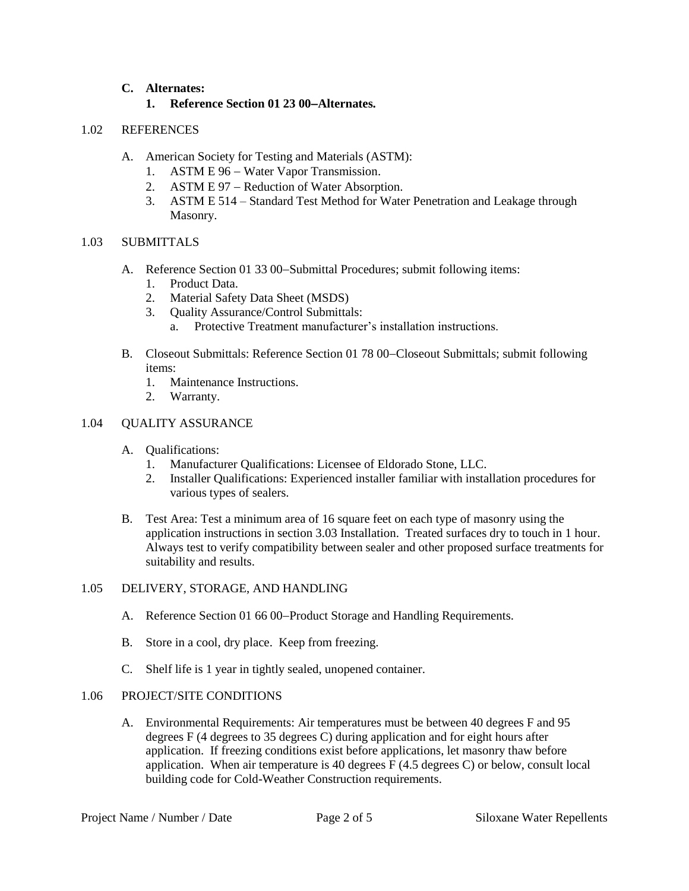## **C. Alternates:**

## **1. Reference Section 01 23 00Alternates.**

## 1.02 REFERENCES

- A. American Society for Testing and Materials (ASTM):
	- 1. ASTM E 96 Water Vapor Transmission.
	- 2. ASTM E 97 Reduction of Water Absorption.
	- 3. ASTM E 514 Standard Test Method for Water Penetration and Leakage through Masonry.

## 1.03 SUBMITTALS

- A. Reference Section 01 33 00–Submittal Procedures; submit following items:
	- 1. Product Data.
	- 2. Material Safety Data Sheet (MSDS)
	- 3. Quality Assurance/Control Submittals:
		- a. Protective Treatment manufacturer's installation instructions.
- B. Closeout Submittals: Reference Section 01 78 00–Closeout Submittals; submit following items:
	- 1. Maintenance Instructions.
	- 2. Warranty.

## 1.04 QUALITY ASSURANCE

- A. Qualifications:
	- 1. Manufacturer Qualifications: Licensee of Eldorado Stone, LLC.
	- 2. Installer Qualifications: Experienced installer familiar with installation procedures for various types of sealers.
- B. Test Area: Test a minimum area of 16 square feet on each type of masonry using the application instructions in section 3.03 Installation. Treated surfaces dry to touch in 1 hour. Always test to verify compatibility between sealer and other proposed surface treatments for suitability and results.

# 1.05 DELIVERY, STORAGE, AND HANDLING

- A. Reference Section 01 66 00–Product Storage and Handling Requirements.
- B. Store in a cool, dry place. Keep from freezing.
- C. Shelf life is 1 year in tightly sealed, unopened container.

### 1.06 PROJECT/SITE CONDITIONS

A. Environmental Requirements: Air temperatures must be between 40 degrees F and 95 degrees F (4 degrees to 35 degrees C) during application and for eight hours after application. If freezing conditions exist before applications, let masonry thaw before application. When air temperature is 40 degrees F (4.5 degrees C) or below, consult local building code for Cold-Weather Construction requirements.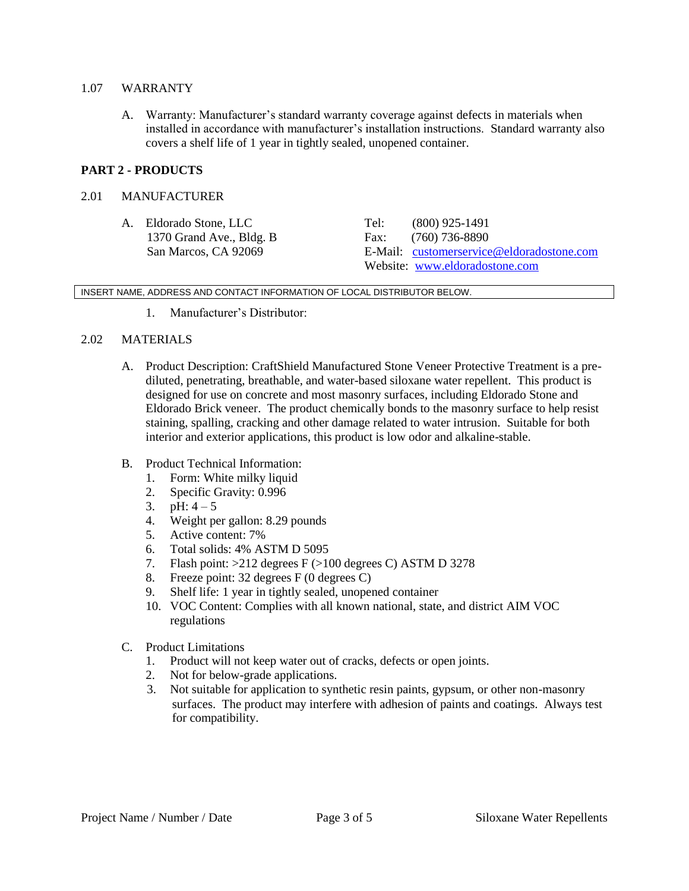#### 1.07 WARRANTY

A. Warranty: Manufacturer's standard warranty coverage against defects in materials when installed in accordance with manufacturer's installation instructions. Standard warranty also covers a shelf life of 1 year in tightly sealed, unopened container.

## **PART 2 - PRODUCTS**

### 2.01 MANUFACTURER

A. Eldorado Stone, LLC Tel: (800) 925-1491 1370 Grand Ave., Bldg. B Fax: (760) 736-8890

San Marcos, CA 92069 E-Mail: [customerservice@eldoradostone.com](mailto:customerservice@eldoradostone.com) Website: [www.eldoradostone.com](http://www.eldoradostone.com/)

INSERT NAME, ADDRESS AND CONTACT INFORMATION OF LOCAL DISTRIBUTOR BELOW.

1. Manufacturer's Distributor:

### 2.02 MATERIALS

- A. Product Description: CraftShield Manufactured Stone Veneer Protective Treatment is a prediluted, penetrating, breathable, and water-based siloxane water repellent. This product is designed for use on concrete and most masonry surfaces, including Eldorado Stone and Eldorado Brick veneer. The product chemically bonds to the masonry surface to help resist staining, spalling, cracking and other damage related to water intrusion. Suitable for both interior and exterior applications, this product is low odor and alkaline-stable.
- B. Product Technical Information:
	- 1. Form: White milky liquid
	- 2. Specific Gravity: 0.996
	- 3.  $pH: 4-5$
	- 4. Weight per gallon: 8.29 pounds
	- 5. Active content: 7%
	- 6. Total solids: 4% ASTM D 5095
	- 7. Flash point: >212 degrees F (>100 degrees C) ASTM D 3278
	- 8. Freeze point: 32 degrees F (0 degrees C)
	- 9. Shelf life: 1 year in tightly sealed, unopened container
	- 10. VOC Content: Complies with all known national, state, and district AIM VOC regulations
- C. Product Limitations
	- 1. Product will not keep water out of cracks, defects or open joints.
	- 2. Not for below-grade applications.
	- 3. Not suitable for application to synthetic resin paints, gypsum, or other non-masonry surfaces. The product may interfere with adhesion of paints and coatings. Always test for compatibility.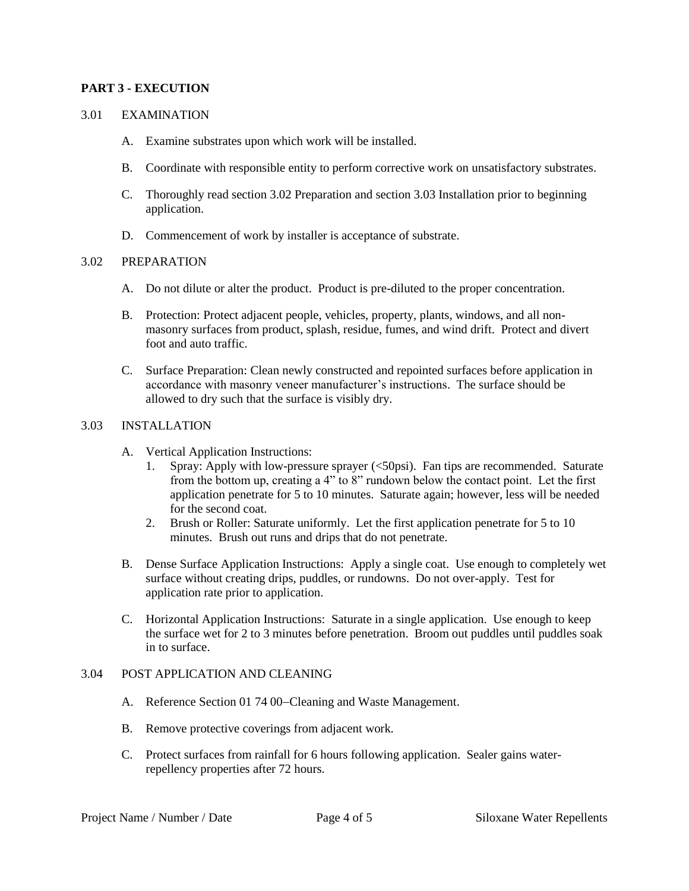## **PART 3 - EXECUTION**

#### 3.01 EXAMINATION

- A. Examine substrates upon which work will be installed.
- B. Coordinate with responsible entity to perform corrective work on unsatisfactory substrates.
- C. Thoroughly read section 3.02 Preparation and section 3.03 Installation prior to beginning application.
- D. Commencement of work by installer is acceptance of substrate.

#### 3.02 PREPARATION

- A. Do not dilute or alter the product. Product is pre-diluted to the proper concentration.
- B. Protection: Protect adjacent people, vehicles, property, plants, windows, and all nonmasonry surfaces from product, splash, residue, fumes, and wind drift. Protect and divert foot and auto traffic.
- C. Surface Preparation: Clean newly constructed and repointed surfaces before application in accordance with masonry veneer manufacturer's instructions. The surface should be allowed to dry such that the surface is visibly dry.

#### 3.03 INSTALLATION

- A. Vertical Application Instructions:
	- 1. Spray: Apply with low-pressure sprayer (<50psi). Fan tips are recommended. Saturate from the bottom up, creating a 4" to 8" rundown below the contact point. Let the first application penetrate for 5 to 10 minutes. Saturate again; however, less will be needed for the second coat.
	- 2. Brush or Roller: Saturate uniformly. Let the first application penetrate for 5 to 10 minutes. Brush out runs and drips that do not penetrate.
- B. Dense Surface Application Instructions: Apply a single coat. Use enough to completely wet surface without creating drips, puddles, or rundowns. Do not over-apply. Test for application rate prior to application.
- C. Horizontal Application Instructions: Saturate in a single application. Use enough to keep the surface wet for 2 to 3 minutes before penetration. Broom out puddles until puddles soak in to surface.

### 3.04 POST APPLICATION AND CLEANING

- A. Reference Section 01 74 00–Cleaning and Waste Management.
- B. Remove protective coverings from adjacent work.
- C. Protect surfaces from rainfall for 6 hours following application. Sealer gains waterrepellency properties after 72 hours.